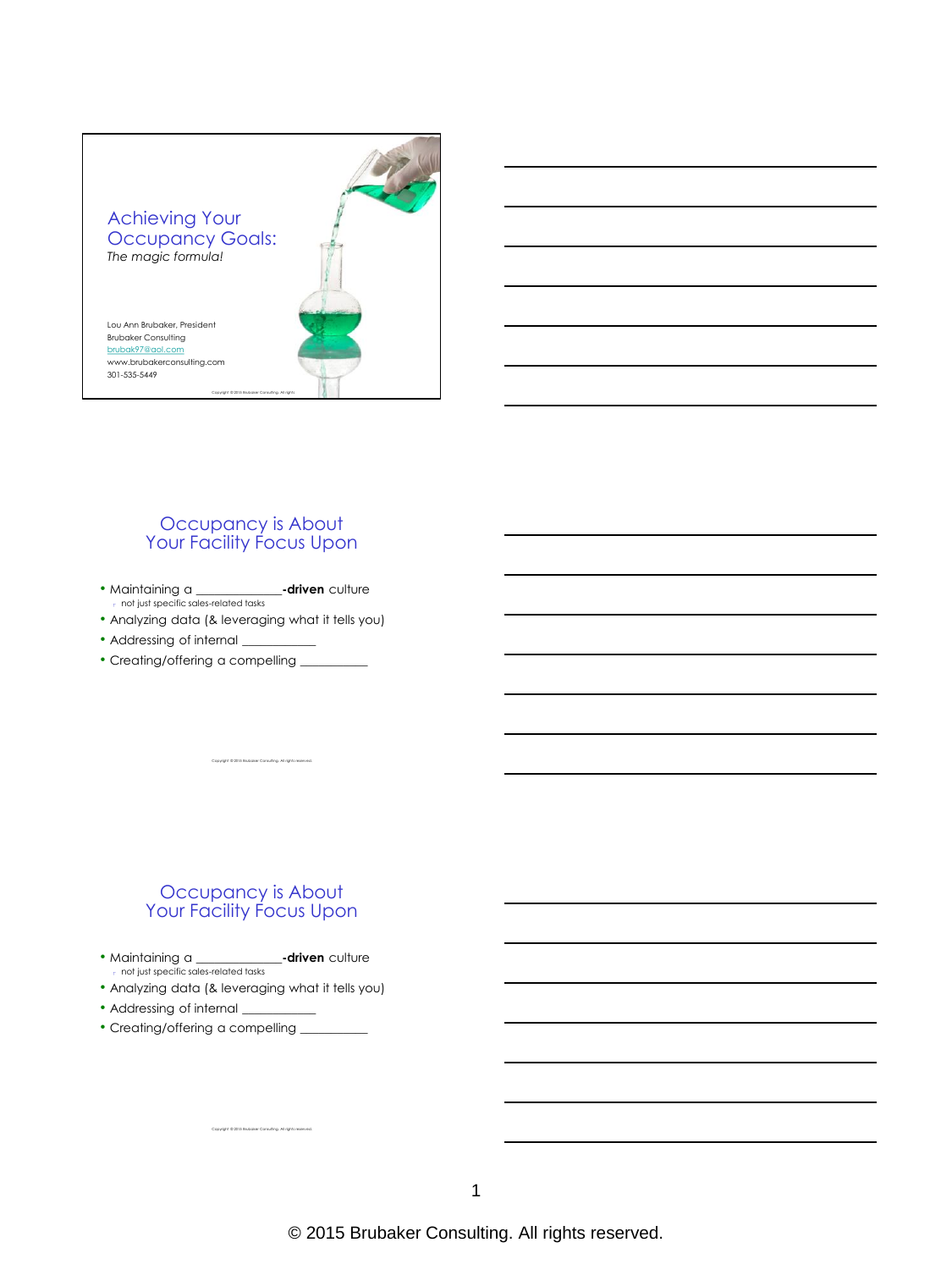

#### Occupancy is About Your Facility Focus Upon

- Maintaining a **\_\_\_\_\_\_\_\_\_\_\_\_\_\_-driven** culture not just specific sales-related tasks
- Analyzing data (& leveraging what it tells you)
- Addressing of internal
- Creating/offering a compelling \_\_\_\_\_\_\_\_\_\_\_

#### Occupancy is About Your Facility Focus Upon

Copyright © 2015 Brubaker Consulting. All rights reserved.

- Maintaining a **\_\_\_\_\_\_\_\_\_\_\_\_\_\_-driven** culture not just specific sales-related tasks
- Analyzing data (& leveraging what it tells you)

- Addressing of internal \_
- Creating/offering a compelling \_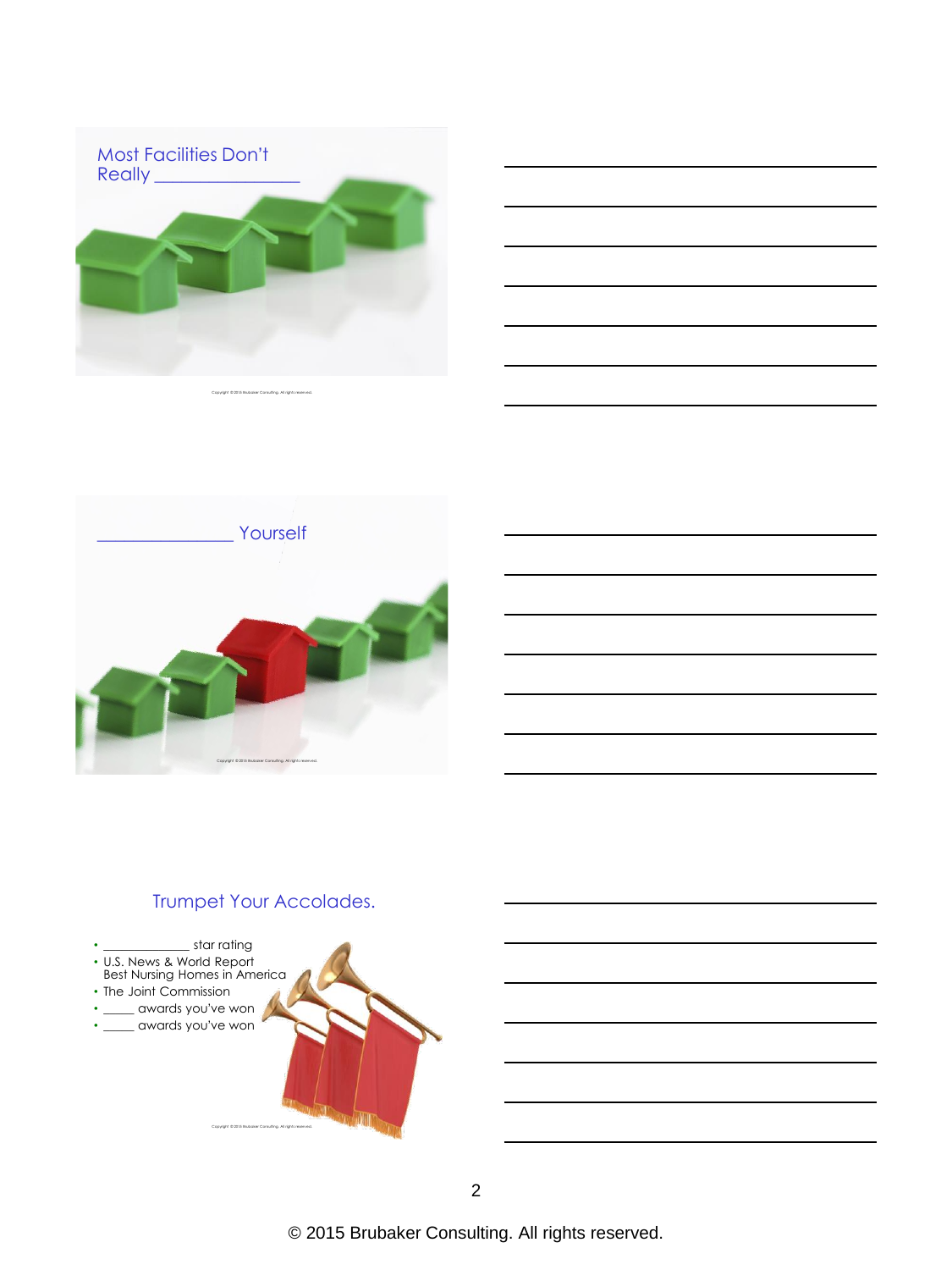

|  | ___ |
|--|-----|
|  | ___ |
|  |     |
|  |     |
|  |     |

Copyright © 2015 Brubaker Consulting. All rights reserved.



## Trumpet Your Accolades.

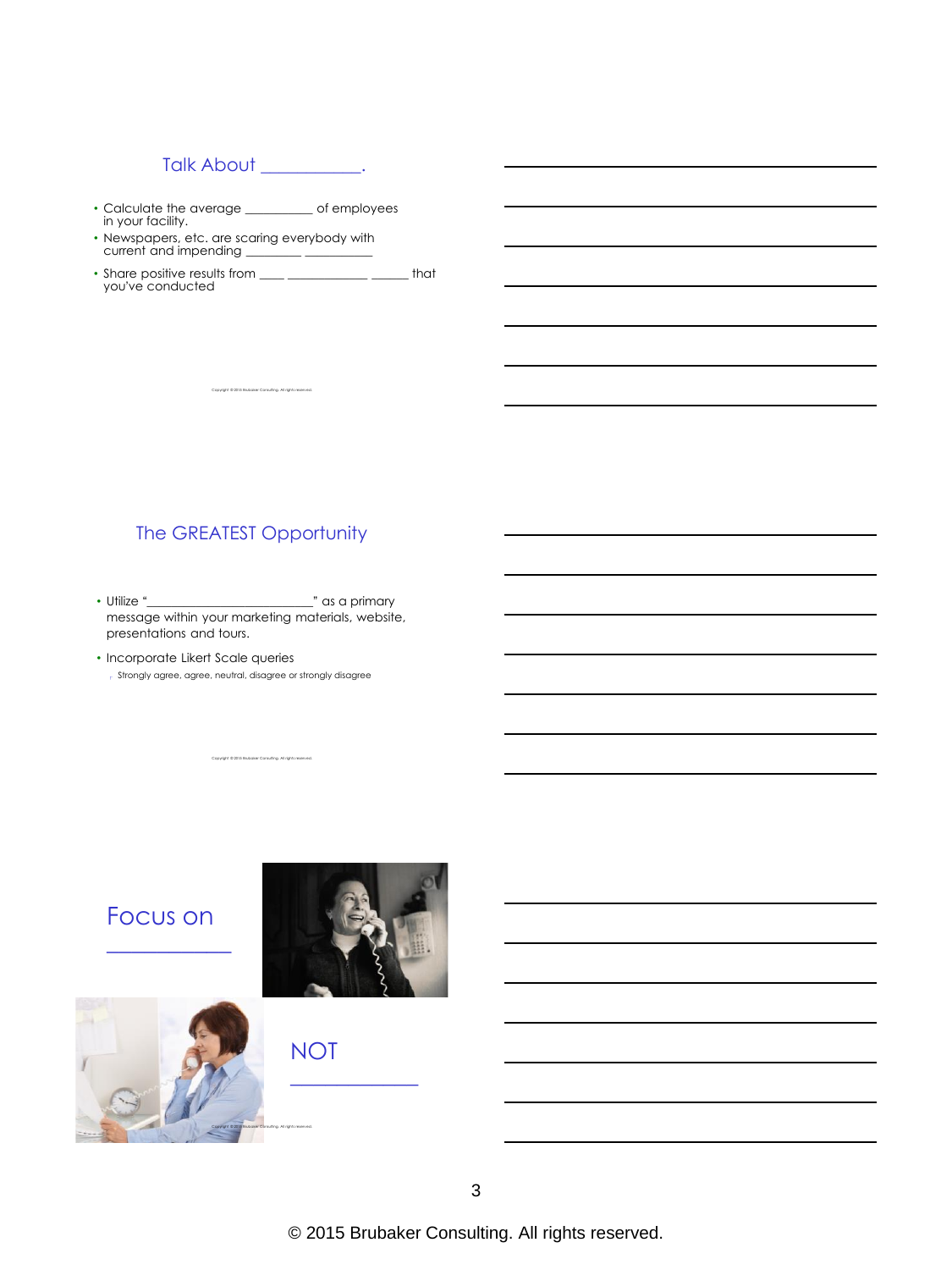## Talk About \_\_\_\_\_\_\_\_\_\_.

- Calculate the average \_\_\_\_\_\_\_\_\_\_\_ of employees in your facility.
- Newspapers, etc. are scaring everybody with
- current and impending \_\_\_\_\_\_\_\_\_ \_\_\_\_\_\_\_\_\_\_\_ • Share positive results from \_\_\_\_ \_\_\_\_\_\_\_\_\_\_\_\_\_\_\_\_\_\_\_\_\_\_ that you've conducted

Copyright © 2015 Brubaker Consulting. All rights reserved.

#### The GREATEST Opportunity

- Utilize "**\_\_\_\_\_\_\_\_\_\_\_\_\_\_\_\_\_\_\_\_\_\_\_\_\_\_\_**" as a primary message within your marketing materials, website, presentations and tours.
- Incorporate Likert Scale queries Strongly agree, agree, neutral, disagree or strongly disagree

Copyright © 2015 Brubaker Consulting. All rights reserved.

# Focus on  $\overline{\phantom{a}}$  , where  $\overline{\phantom{a}}$



\_\_\_\_\_\_\_\_\_\_\_



NOT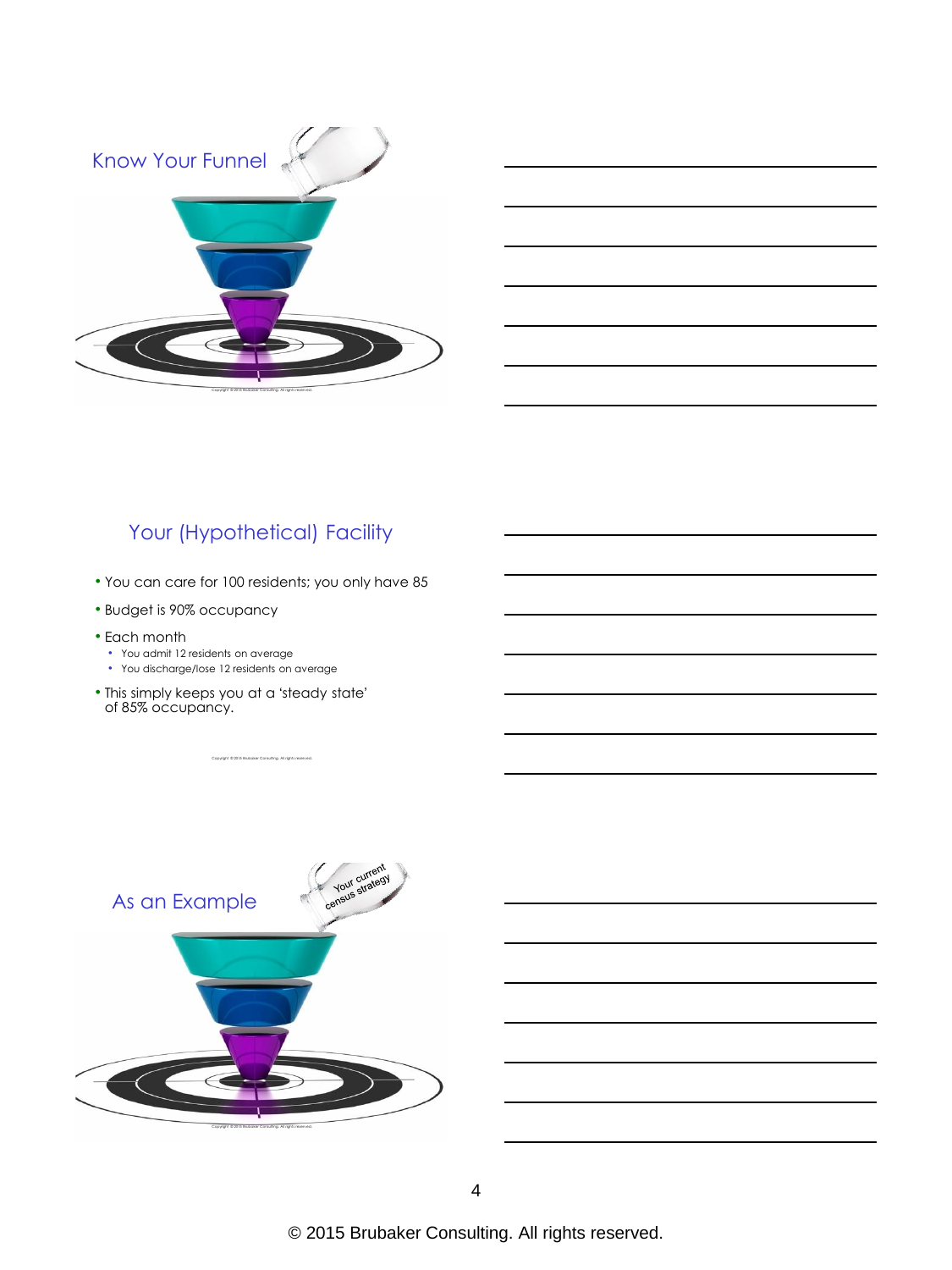



# Your (Hypothetical) Facility

- You can care for 100 residents; you only have 85
- Budget is 90% occupancy
- Each month
	- You admit 12 residents on average
	- You discharge/lose 12 residents on average
- This simply keeps you at a 'steady state' of 85% occupancy.

Copyright © 2015 Brubaker Consulting. All rights reserved.

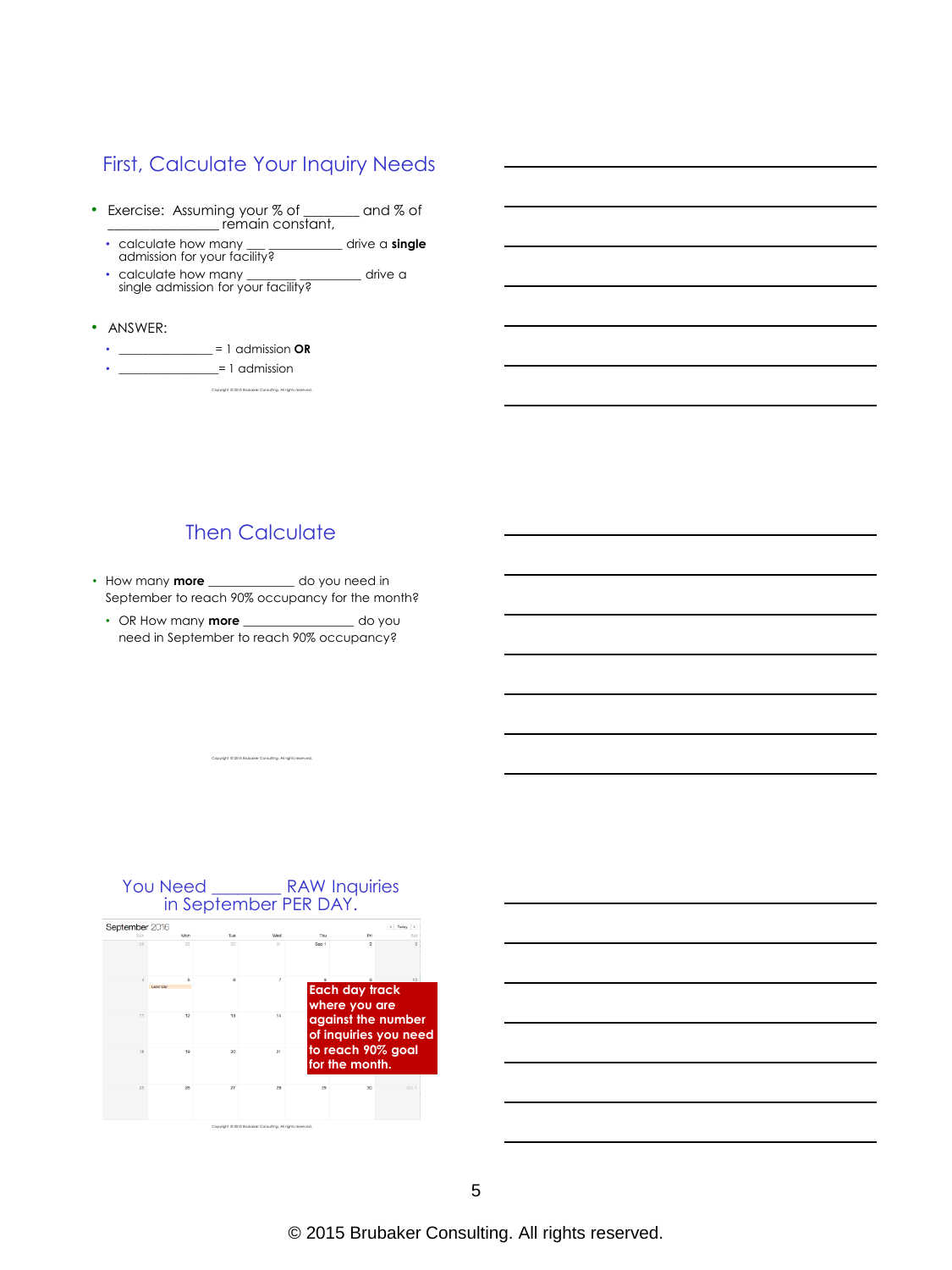## First, Calculate Your Inquiry Needs

- Exercise: Assuming your % of \_\_\_\_\_\_ and % of<br>
remain constant,
	- calculate how many \_\_\_ \_\_\_\_\_\_\_\_\_\_\_\_ drive a **single** admission for your facility?
	- calculate how many **\_\_\_\_\_\_\_\_ \_\_\_\_\_\_\_\_\_\_** drive a single admission for your facility?

Copyright © 2015 Brubaker Consulting. All rights reserved.

- ANSWER:
	- \_\_\_\_\_\_\_\_\_\_\_\_\_\_\_\_ = 1 admission **OR**
	- $=$  1 admission

## Then Calculate

- How many **more** \_\_\_\_\_\_\_\_\_\_\_\_\_\_ do you need in September to reach 90% occupancy for the month?
	- OR How many **more** \_\_\_\_\_\_\_\_\_\_\_\_\_\_\_\_\_\_ do you need in September to reach 90% occupancy?

Copyright © 2015 Brubaker Consulting. All rights reserved.



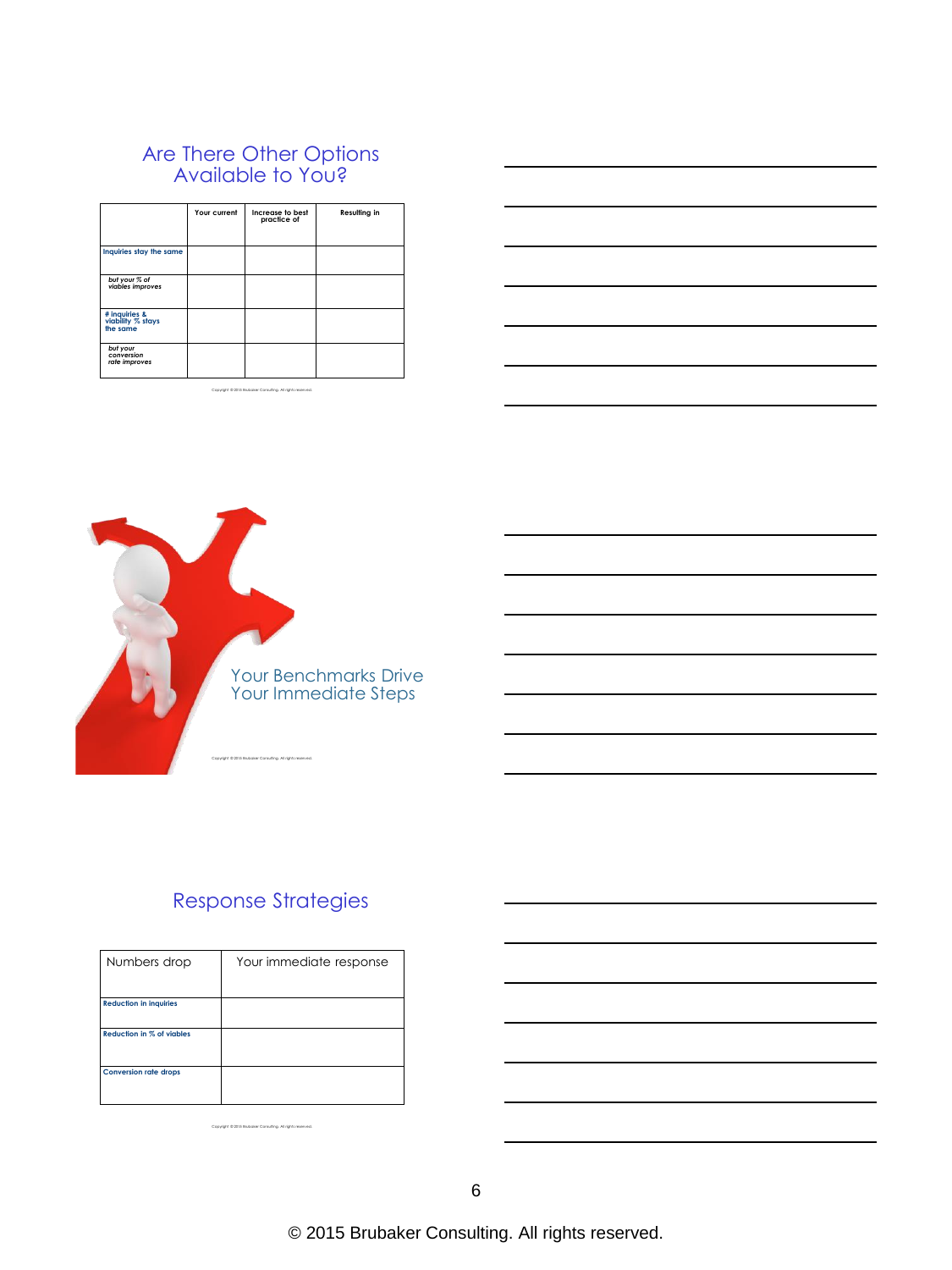#### Are There Other Options Available to You?

|                                                | Your current | Increase to best<br>practice of | Resulting in |
|------------------------------------------------|--------------|---------------------------------|--------------|
| Inquiries stay the same                        |              |                                 |              |
| but your % of<br>viables improves              |              |                                 |              |
| # inquiries &<br>viability % stays<br>the same |              |                                 |              |
| but your<br>conversion<br>rate improves        |              |                                 |              |

Copyright © 2015 Brubaker Consulting. All rights reserved.



# Response Strategies

| Numbers drop                     | Your immediate response |
|----------------------------------|-------------------------|
| <b>Reduction in inquiries</b>    |                         |
| <b>Reduction in % of viables</b> |                         |
| <b>Conversion rate drops</b>     |                         |

Copyright © 2015 Brubaker Consulting. All rights reserved.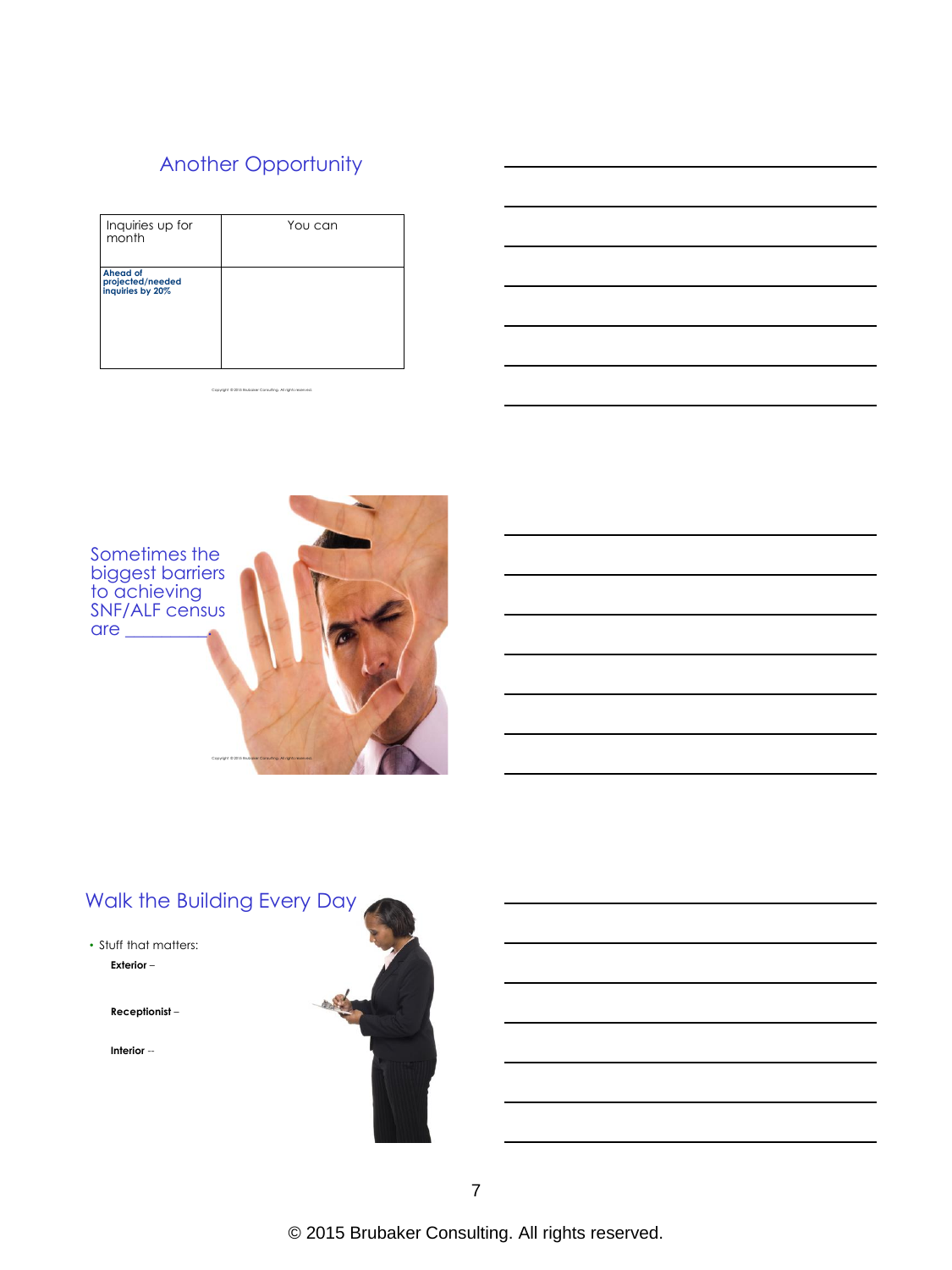# Another Opportunity

| Inquiries up for<br>month                               | You can |
|---------------------------------------------------------|---------|
| <b>Ahead of</b><br>projected/needed<br>inquiries by 20% |         |

Copyright © 2015 Brubaker Consulting. All rights reserved.



# Walk the Building Every Day

#### • Stuff that matters: **Exterior** –

**Receptionist** –

**Interior** --

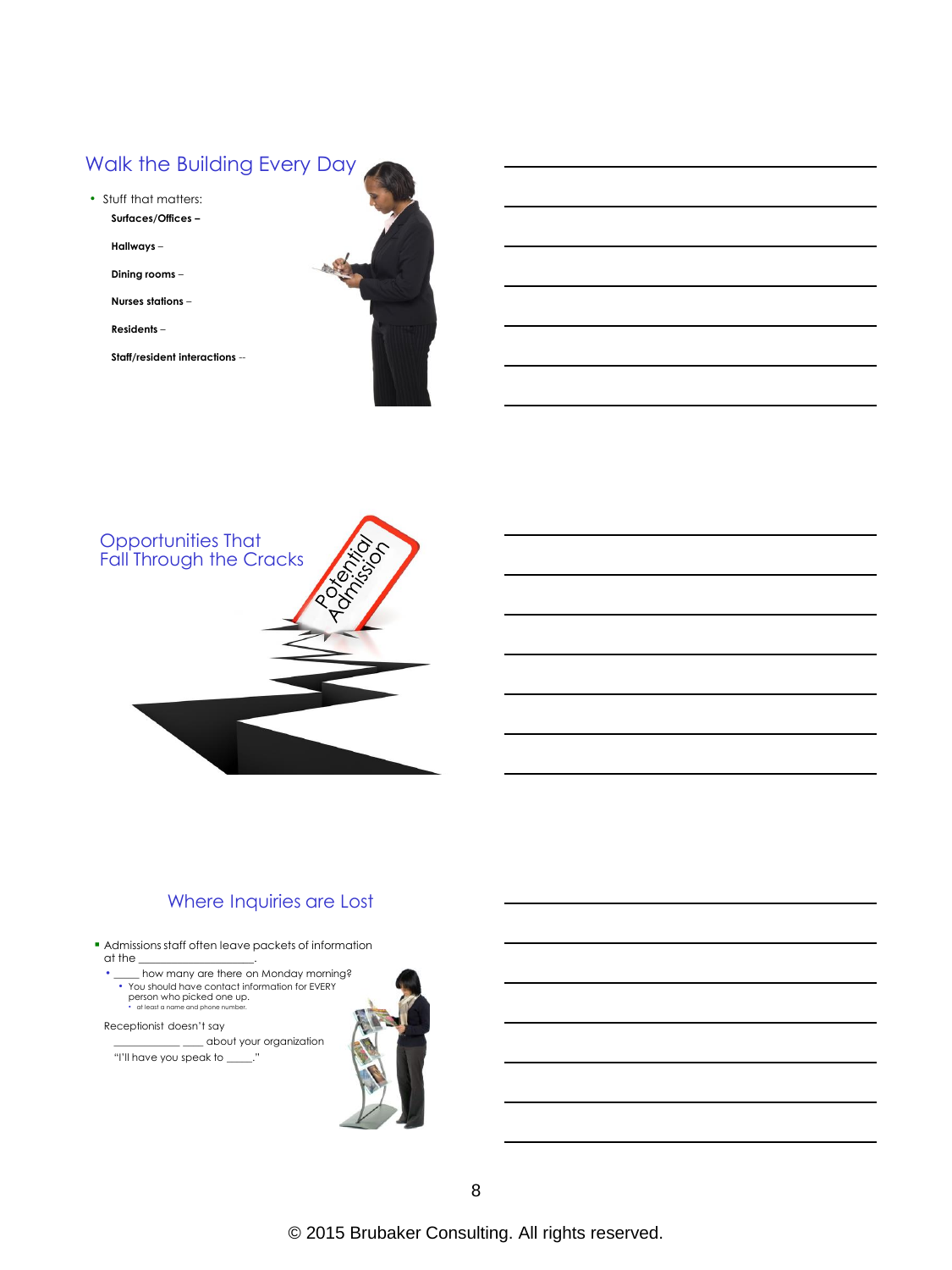## Walk the Building Every Day

- Stuff that matters: **Surfaces/Offices –**
	- **Hallways** –

**Dining rooms** –

**Nurses stations** –

**Residents** –

**Staff/resident interactions** --





## Where Inquiries are Lost

 Admissions staff often leave packets of information  $\alpha$  the

• \_\_\_\_\_ how many are there on Monday morning? • You should have contact information for EVERY person who picked one up. • at least a name and phone number.

Receptionist doesn't say

\_\_\_\_\_\_\_\_\_\_\_\_\_ \_\_\_\_ about your organization "I'll have you speak to \_\_\_\_\_."

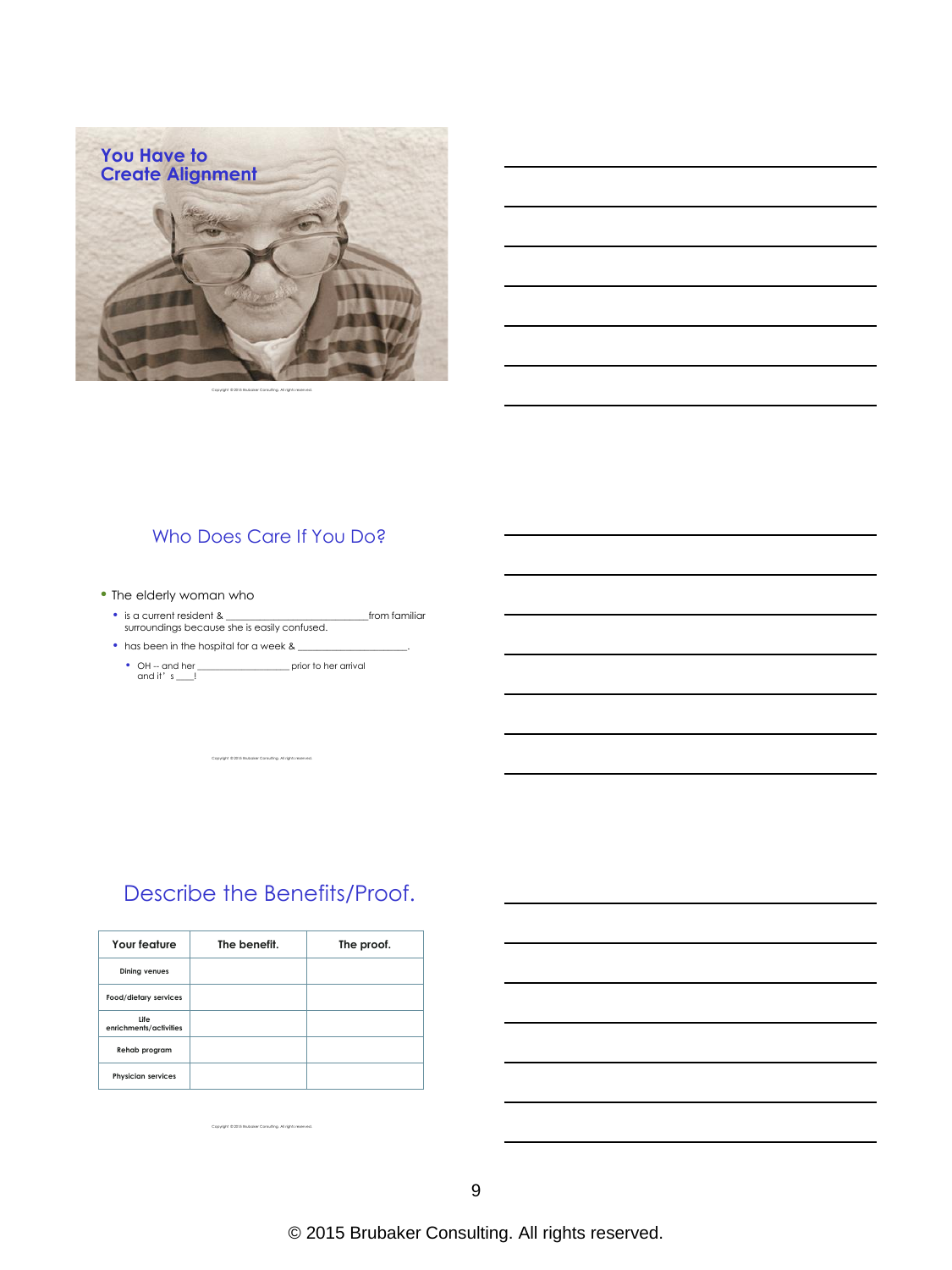

Copyright © 2015 Brubaker Consulting. All rights reserved.

#### Who Does Care If You Do?

- The elderly woman who
	- is a current resident & \_\_\_\_\_\_\_\_\_\_\_\_\_\_\_\_\_\_\_\_\_\_\_\_\_\_\_\_\_\_from familiar surroundings because she is easily confused.
	- has been in the hospital for a week  $\&$ 
		- OH -- and her \_\_\_\_\_\_\_\_\_\_\_\_\_\_\_\_\_\_\_\_\_ prior to her arrival and it'  $s$  \_\_\_!

Copyright © 2015 Brubaker Consulting. All rights reserved.

# Describe the Benefits/Proof.

| Your feature                   | The benefit. | The proof. |
|--------------------------------|--------------|------------|
| <b>Dining venues</b>           |              |            |
| Food/dietary services          |              |            |
| Life<br>enrichments/activities |              |            |
| Rehab program                  |              |            |
| <b>Physician services</b>      |              |            |